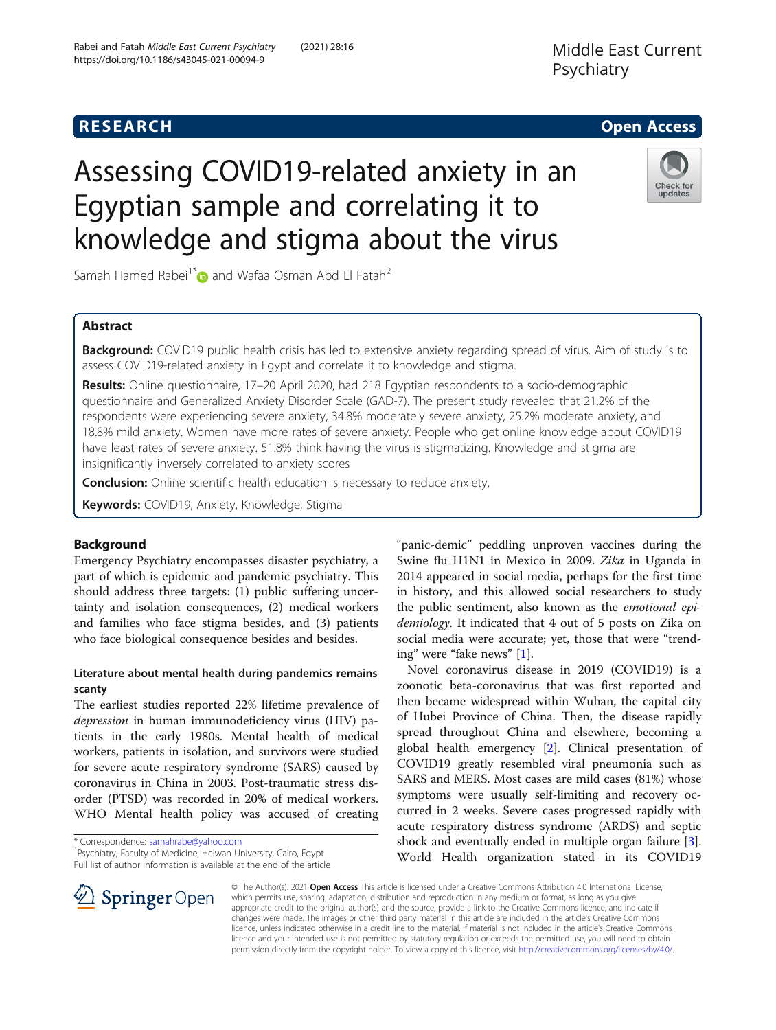https://doi.org/10.1186/s43045-021-00094-9

# Assessing COVID19-related anxiety in an Egyptian sample and correlating it to knowledge and stigma about the virus



Samah Hamed Rabei<sup>1[\\*](http://orcid.org/0000-0001-9710-4567)</sup> and Wafaa Osman Abd El Fatah<sup>2</sup>

# Abstract

Background: COVID19 public health crisis has led to extensive anxiety regarding spread of virus. Aim of study is to assess COVID19-related anxiety in Egypt and correlate it to knowledge and stigma.

Results: Online questionnaire, 17-20 April 2020, had 218 Egyptian respondents to a socio-demographic questionnaire and Generalized Anxiety Disorder Scale (GAD-7). The present study revealed that 21.2% of the respondents were experiencing severe anxiety, 34.8% moderately severe anxiety, 25.2% moderate anxiety, and 18.8% mild anxiety. Women have more rates of severe anxiety. People who get online knowledge about COVID19 have least rates of severe anxiety. 51.8% think having the virus is stigmatizing. Knowledge and stigma are insignificantly inversely correlated to anxiety scores

**Conclusion:** Online scientific health education is necessary to reduce anxiety.

Keywords: COVID19, Anxiety, Knowledge, Stigma

# Background

Emergency Psychiatry encompasses disaster psychiatry, a part of which is epidemic and pandemic psychiatry. This should address three targets: (1) public suffering uncertainty and isolation consequences, (2) medical workers and families who face stigma besides, and (3) patients who face biological consequence besides and besides.

# Literature about mental health during pandemics remains scanty

The earliest studies reported 22% lifetime prevalence of depression in human immunodeficiency virus (HIV) patients in the early 1980s. Mental health of medical workers, patients in isolation, and survivors were studied for severe acute respiratory syndrome (SARS) caused by coronavirus in China in 2003. Post-traumatic stress disorder (PTSD) was recorded in 20% of medical workers. WHO Mental health policy was accused of creating

\* Correspondence: [samahrabe@yahoo.com](mailto:samahrabe@yahoo.com) <sup>1</sup>

 $\mathscr{L}$  Springer Open

Psychiatry, Faculty of Medicine, Helwan University, Cairo, Egypt Full list of author information is available at the end of the article

"panic-demic" peddling unproven vaccines during the Swine flu H1N1 in Mexico in 2009. Zika in Uganda in 2014 appeared in social media, perhaps for the first time in history, and this allowed social researchers to study the public sentiment, also known as the emotional epidemiology. It indicated that 4 out of 5 posts on Zika on social media were accurate; yet, those that were "trending" were "fake news" [\[1](#page-5-0)].

Novel coronavirus disease in 2019 (COVID19) is a zoonotic beta-coronavirus that was first reported and then became widespread within Wuhan, the capital city of Hubei Province of China. Then, the disease rapidly spread throughout China and elsewhere, becoming a global health emergency [\[2\]](#page-5-0). Clinical presentation of COVID19 greatly resembled viral pneumonia such as SARS and MERS. Most cases are mild cases (81%) whose symptoms were usually self-limiting and recovery occurred in 2 weeks. Severe cases progressed rapidly with acute respiratory distress syndrome (ARDS) and septic shock and eventually ended in multiple organ failure [\[3](#page-5-0)]. World Health organization stated in its COVID19

© The Author(s). 2021 Open Access This article is licensed under a Creative Commons Attribution 4.0 International License, which permits use, sharing, adaptation, distribution and reproduction in any medium or format, as long as you give appropriate credit to the original author(s) and the source, provide a link to the Creative Commons licence, and indicate if changes were made. The images or other third party material in this article are included in the article's Creative Commons licence, unless indicated otherwise in a credit line to the material. If material is not included in the article's Creative Commons licence and your intended use is not permitted by statutory regulation or exceeds the permitted use, you will need to obtain permission directly from the copyright holder. To view a copy of this licence, visit <http://creativecommons.org/licenses/by/4.0/>.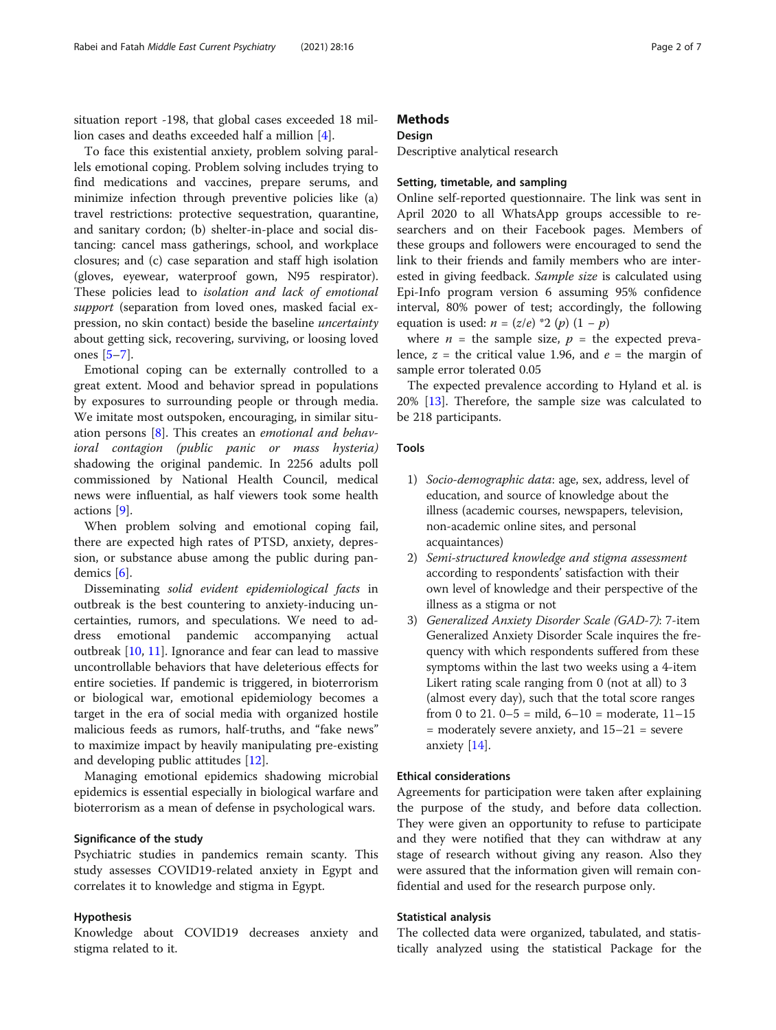situation report -198, that global cases exceeded 18 million cases and deaths exceeded half a million [[4\]](#page-5-0).

To face this existential anxiety, problem solving parallels emotional coping. Problem solving includes trying to find medications and vaccines, prepare serums, and minimize infection through preventive policies like (a) travel restrictions: protective sequestration, quarantine, and sanitary cordon; (b) shelter-in-place and social distancing: cancel mass gatherings, school, and workplace closures; and (c) case separation and staff high isolation (gloves, eyewear, waterproof gown, N95 respirator). These policies lead to isolation and lack of emotional support (separation from loved ones, masked facial expression, no skin contact) beside the baseline uncertainty about getting sick, recovering, surviving, or loosing loved ones [[5](#page-5-0)–[7](#page-5-0)].

Emotional coping can be externally controlled to a great extent. Mood and behavior spread in populations by exposures to surrounding people or through media. We imitate most outspoken, encouraging, in similar situation persons [\[8\]](#page-5-0). This creates an emotional and behavioral contagion (public panic or mass hysteria) shadowing the original pandemic. In 2256 adults poll commissioned by National Health Council, medical news were influential, as half viewers took some health actions [[9\]](#page-5-0).

When problem solving and emotional coping fail, there are expected high rates of PTSD, anxiety, depression, or substance abuse among the public during pandemics [\[6](#page-5-0)].

Disseminating solid evident epidemiological facts in outbreak is the best countering to anxiety-inducing uncertainties, rumors, and speculations. We need to address emotional pandemic accompanying actual outbreak [[10,](#page-5-0) [11](#page-5-0)]. Ignorance and fear can lead to massive uncontrollable behaviors that have deleterious effects for entire societies. If pandemic is triggered, in bioterrorism or biological war, emotional epidemiology becomes a target in the era of social media with organized hostile malicious feeds as rumors, half-truths, and "fake news" to maximize impact by heavily manipulating pre-existing and developing public attitudes [\[12\]](#page-5-0).

Managing emotional epidemics shadowing microbial epidemics is essential especially in biological warfare and bioterrorism as a mean of defense in psychological wars.

## Significance of the study

Psychiatric studies in pandemics remain scanty. This study assesses COVID19-related anxiety in Egypt and correlates it to knowledge and stigma in Egypt.

#### Hypothesis

Knowledge about COVID19 decreases anxiety and stigma related to it.

# **Methods**

#### Design

Descriptive analytical research

# Setting, timetable, and sampling

Online self-reported questionnaire. The link was sent in April 2020 to all WhatsApp groups accessible to researchers and on their Facebook pages. Members of these groups and followers were encouraged to send the link to their friends and family members who are interested in giving feedback. Sample size is calculated using Epi-Info program version 6 assuming 95% confidence interval, 80% power of test; accordingly, the following equation is used:  $n = (z/e) * 2 (p) (1 - p)$ 

where  $n =$  the sample size,  $p =$  the expected prevalence,  $z =$  the critical value 1.96, and  $e =$  the margin of sample error tolerated 0.05

The expected prevalence according to Hyland et al. is 20% [\[13\]](#page-5-0). Therefore, the sample size was calculated to be 218 participants.

# Tools

- 1) Socio-demographic data: age, sex, address, level of education, and source of knowledge about the illness (academic courses, newspapers, television, non-academic online sites, and personal acquaintances)
- 2) Semi-structured knowledge and stigma assessment according to respondents' satisfaction with their own level of knowledge and their perspective of the illness as a stigma or not
- 3) Generalized Anxiety Disorder Scale (GAD-7): 7-item Generalized Anxiety Disorder Scale inquires the frequency with which respondents suffered from these symptoms within the last two weeks using a 4-item Likert rating scale ranging from 0 (not at all) to 3 (almost every day), such that the total score ranges from 0 to 21.  $0-5 =$  mild,  $6-10 =$  moderate,  $11-15$ = moderately severe anxiety, and 15–21 = severe anxiety [\[14\]](#page-5-0).

# Ethical considerations

Agreements for participation were taken after explaining the purpose of the study, and before data collection. They were given an opportunity to refuse to participate and they were notified that they can withdraw at any stage of research without giving any reason. Also they were assured that the information given will remain confidential and used for the research purpose only.

### Statistical analysis

The collected data were organized, tabulated, and statistically analyzed using the statistical Package for the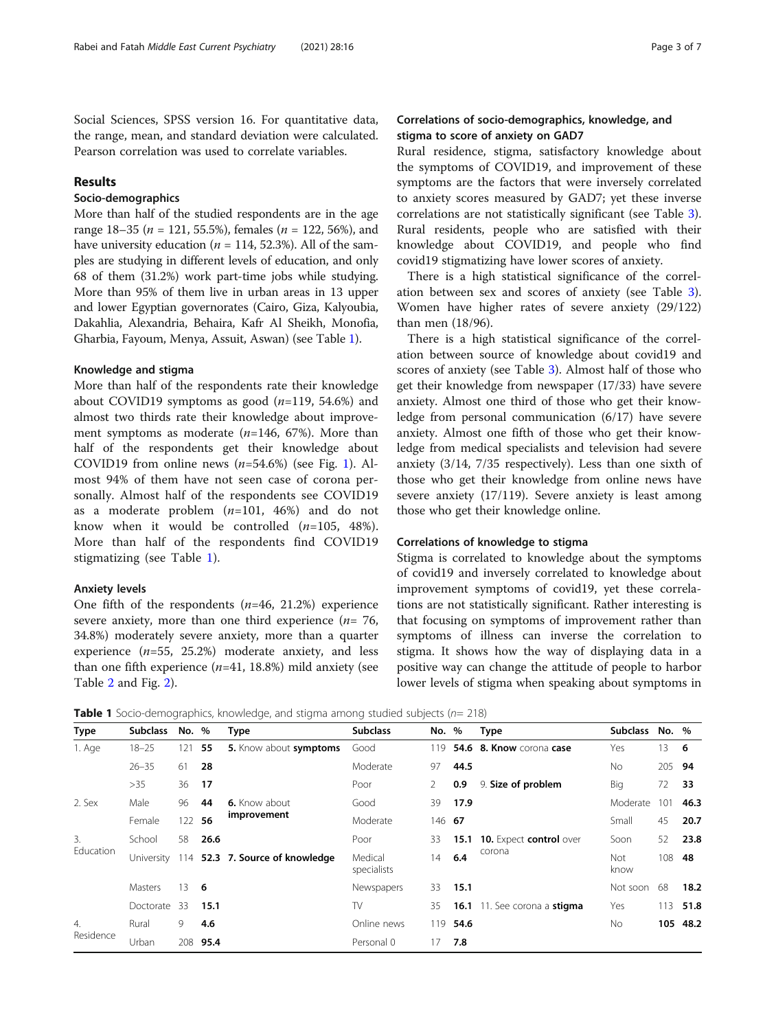Social Sciences, SPSS version 16. For quantitative data, the range, mean, and standard deviation were calculated. Pearson correlation was used to correlate variables.

# Results

# Socio-demographics

More than half of the studied respondents are in the age range 18–35 ( $n = 121, 55.5\%$ ), females ( $n = 122, 56\%$ ), and have university education ( $n = 114$ , 52.3%). All of the samples are studying in different levels of education, and only 68 of them (31.2%) work part-time jobs while studying. More than 95% of them live in urban areas in 13 upper and lower Egyptian governorates (Cairo, Giza, Kalyoubia, Dakahlia, Alexandria, Behaira, Kafr Al Sheikh, Monofia, Gharbia, Fayoum, Menya, Assuit, Aswan) (see Table 1).

#### Knowledge and stigma

More than half of the respondents rate their knowledge about COVID19 symptoms as good  $(n=119, 54.6%)$  and almost two thirds rate their knowledge about improvement symptoms as moderate  $(n=146, 67%)$ . More than half of the respondents get their knowledge about COVID[1](#page-3-0)9 from online news  $(n=54.6\%)$  (see Fig. 1). Almost 94% of them have not seen case of corona personally. Almost half of the respondents see COVID19 as a moderate problem  $(n=101, 46%)$  and do not know when it would be controlled  $(n=105, 48\%).$ More than half of the respondents find COVID19 stigmatizing (see Table 1).

#### Anxiety levels

One fifth of the respondents  $(n=46, 21.2%)$  experience severe anxiety, more than one third experience  $(n= 76,$ 34.8%) moderately severe anxiety, more than a quarter experience  $(n=55, 25.2%)$  moderate anxiety, and less than one fifth experience  $(n=41, 18.8%)$  mild anxiety (see Table [2](#page-3-0) and Fig. [2\)](#page-4-0).

# Correlations of socio-demographics, knowledge, and stigma to score of anxiety on GAD7

Rural residence, stigma, satisfactory knowledge about the symptoms of COVID19, and improvement of these symptoms are the factors that were inversely correlated to anxiety scores measured by GAD7; yet these inverse correlations are not statistically significant (see Table [3](#page-4-0)). Rural residents, people who are satisfied with their knowledge about COVID19, and people who find covid19 stigmatizing have lower scores of anxiety.

There is a high statistical significance of the correlation between sex and scores of anxiety (see Table [3](#page-4-0)). Women have higher rates of severe anxiety (29/122) than men (18/96).

There is a high statistical significance of the correlation between source of knowledge about covid19 and scores of anxiety (see Table [3\)](#page-4-0). Almost half of those who get their knowledge from newspaper (17/33) have severe anxiety. Almost one third of those who get their knowledge from personal communication (6/17) have severe anxiety. Almost one fifth of those who get their knowledge from medical specialists and television had severe anxiety (3/14, 7/35 respectively). Less than one sixth of those who get their knowledge from online news have severe anxiety (17/119). Severe anxiety is least among those who get their knowledge online.

#### Correlations of knowledge to stigma

Stigma is correlated to knowledge about the symptoms of covid19 and inversely correlated to knowledge about improvement symptoms of covid19, yet these correlations are not statistically significant. Rather interesting is that focusing on symptoms of improvement rather than symptoms of illness can inverse the correlation to stigma. It shows how the way of displaying data in a positive way can change the attitude of people to harbor lower levels of stigma when speaking about symptoms in

**Table 1** Socio-demographics, knowledge, and stigma among studied subjects ( $n= 218$ )

| Type                          | <b>Subclass</b> | No. %  |      | <b>Type</b>                     | <b>Subclass</b>        | No. %          |          | <b>Type</b>                                    | <b>Subclass</b> | No. %  |          |
|-------------------------------|-----------------|--------|------|---------------------------------|------------------------|----------------|----------|------------------------------------------------|-----------------|--------|----------|
| 1. Age                        | $18 - 25$       | 121    | 55   | 5. Know about symptoms          | Good                   | 119            |          | 54.6 8. Know corona case<br>9. Size of problem | Yes             | 13.    | -6       |
|                               | $26 - 35$       | 61     | 28   |                                 | Moderate               | 97             | 44.5     |                                                | No.             | 205 94 |          |
|                               | >35             | 36     | 17   |                                 | Poor                   | $\overline{2}$ | 0.9      |                                                | Big             | 72     | 33       |
| 2. Sex                        | Male            | 96     | 44   | 6. Know about<br>improvement    | Good                   | 39             | 17.9     |                                                | Moderate        | 101    | 46.3     |
|                               | Female          | 122 56 |      |                                 | Moderate               |                | 146 67   |                                                | Small           | 45     | 20.7     |
| 3.<br><b>Education</b>        | School          | 58     | 26.6 | 114 52.3 7. Source of knowledge | Poor                   | 33             | 15.1     | <b>10.</b> Expect control over<br>corona       | Soon            | 52     | 23.8     |
|                               | University      |        |      |                                 | Medical<br>specialists | 14             | 6.4      |                                                | Not<br>know     | 108    | 48       |
|                               | <b>Masters</b>  | 13     | - 6  |                                 | Newspapers             | 33             | 15.1     |                                                | Not soon        | 68     | 18.2     |
|                               | Doctorate       | 33     | 15.1 |                                 | TV                     | 35             |          | 16.1 11. See corona a stigma                   | Yes             | 113    | 51.8     |
| $\overline{4}$ .<br>Residence | Rural           | 9      | 4.6  |                                 | Online news            |                | 119 54.6 |                                                | <b>No</b>       |        | 105 48.2 |
|                               | Urban           | 208    | 95.4 |                                 | Personal 0             | 17             | 7.8      |                                                |                 |        |          |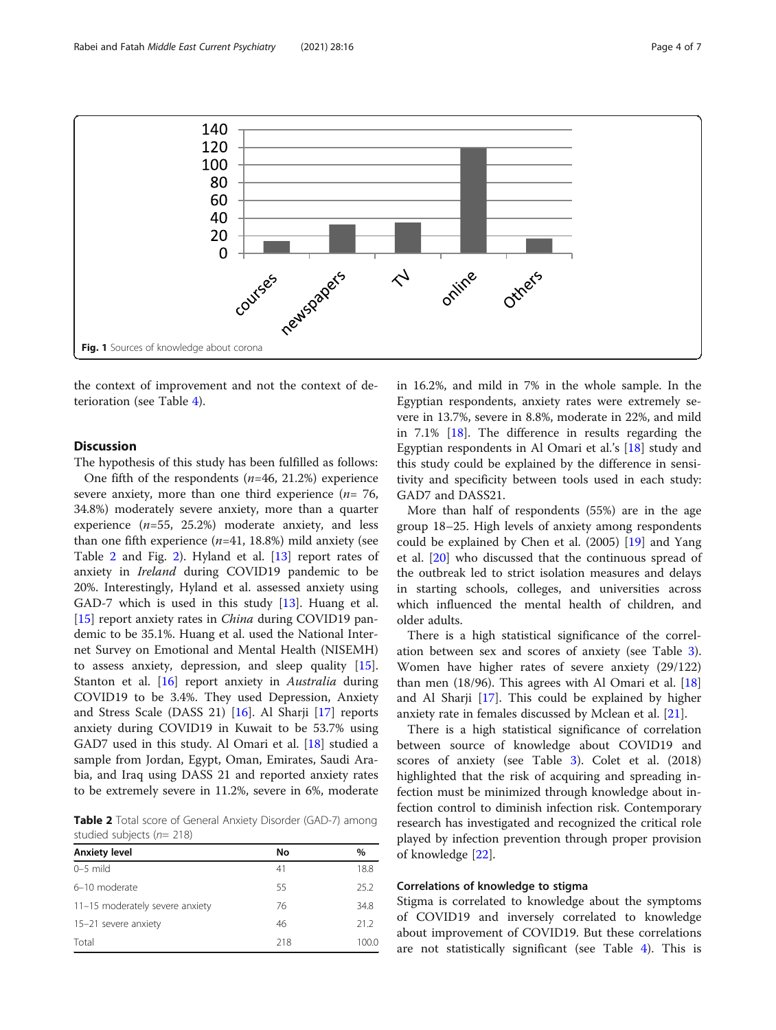<span id="page-3-0"></span>

the context of improvement and not the context of deterioration (see Table [4](#page-5-0)).

# **Discussion**

The hypothesis of this study has been fulfilled as follows:

One fifth of the respondents  $(n=46, 21.2%)$  experience severe anxiety, more than one third experience  $(n= 76,$ 34.8%) moderately severe anxiety, more than a quarter experience  $(n=55, 25.2%)$  moderate anxiety, and less than one fifth experience  $(n=41, 18.8%)$  mild anxiety (see Table 2 and Fig. [2\)](#page-4-0). Hyland et al. [[13\]](#page-5-0) report rates of anxiety in Ireland during COVID19 pandemic to be 20%. Interestingly, Hyland et al. assessed anxiety using GAD-7 which is used in this study [\[13\]](#page-5-0). Huang et al. [[15\]](#page-5-0) report anxiety rates in *China* during COVID19 pandemic to be 35.1%. Huang et al. used the National Internet Survey on Emotional and Mental Health (NISEMH) to assess anxiety, depression, and sleep quality [\[15](#page-5-0)]. Stanton et al. [[16\]](#page-5-0) report anxiety in *Australia* during COVID19 to be 3.4%. They used Depression, Anxiety and Stress Scale (DASS 21) [[16](#page-5-0)]. Al Sharji [\[17](#page-6-0)] reports anxiety during COVID19 in Kuwait to be 53.7% using GAD7 used in this study. Al Omari et al. [\[18](#page-6-0)] studied a sample from Jordan, Egypt, Oman, Emirates, Saudi Arabia, and Iraq using DASS 21 and reported anxiety rates to be extremely severe in 11.2%, severe in 6%, moderate

Table 2 Total score of General Anxiety Disorder (GAD-7) among studied subjects ( $n= 218$ )

| <b>Anxiety level</b>            | No  | $\%$  |
|---------------------------------|-----|-------|
| $0-5$ mild                      | 41  | 18.8  |
| 6-10 moderate                   | 55  | 25.2  |
| 11-15 moderately severe anxiety | 76  | 34.8  |
| 15-21 severe anxiety            | 46  | 21.2  |
| Total                           | 218 | 100.0 |
|                                 |     |       |

in 16.2%, and mild in 7% in the whole sample. In the Egyptian respondents, anxiety rates were extremely severe in 13.7%, severe in 8.8%, moderate in 22%, and mild in 7.1% [\[18\]](#page-6-0). The difference in results regarding the Egyptian respondents in Al Omari et al.'s [\[18\]](#page-6-0) study and this study could be explained by the difference in sensitivity and specificity between tools used in each study: GAD7 and DASS21.

More than half of respondents (55%) are in the age group 18–25. High levels of anxiety among respondents could be explained by Chen et al. (2005) [[19](#page-6-0)] and Yang et al. [[20](#page-6-0)] who discussed that the continuous spread of the outbreak led to strict isolation measures and delays in starting schools, colleges, and universities across which influenced the mental health of children, and older adults.

There is a high statistical significance of the correlation between sex and scores of anxiety (see Table [3](#page-4-0)). Women have higher rates of severe anxiety (29/122) than men  $(18/96)$  $(18/96)$  $(18/96)$ . This agrees with Al Omari et al.  $[18]$ and Al Sharji [\[17\]](#page-6-0). This could be explained by higher anxiety rate in females discussed by Mclean et al. [[21](#page-6-0)].

There is a high statistical significance of correlation between source of knowledge about COVID19 and scores of anxiety (see Table [3\)](#page-4-0). Colet et al. (2018) highlighted that the risk of acquiring and spreading infection must be minimized through knowledge about infection control to diminish infection risk. Contemporary research has investigated and recognized the critical role played by infection prevention through proper provision of knowledge [\[22](#page-6-0)].

# Correlations of knowledge to stigma

Stigma is correlated to knowledge about the symptoms of COVID19 and inversely correlated to knowledge about improvement of COVID19. But these correlations are not statistically significant (see Table [4\)](#page-5-0). This is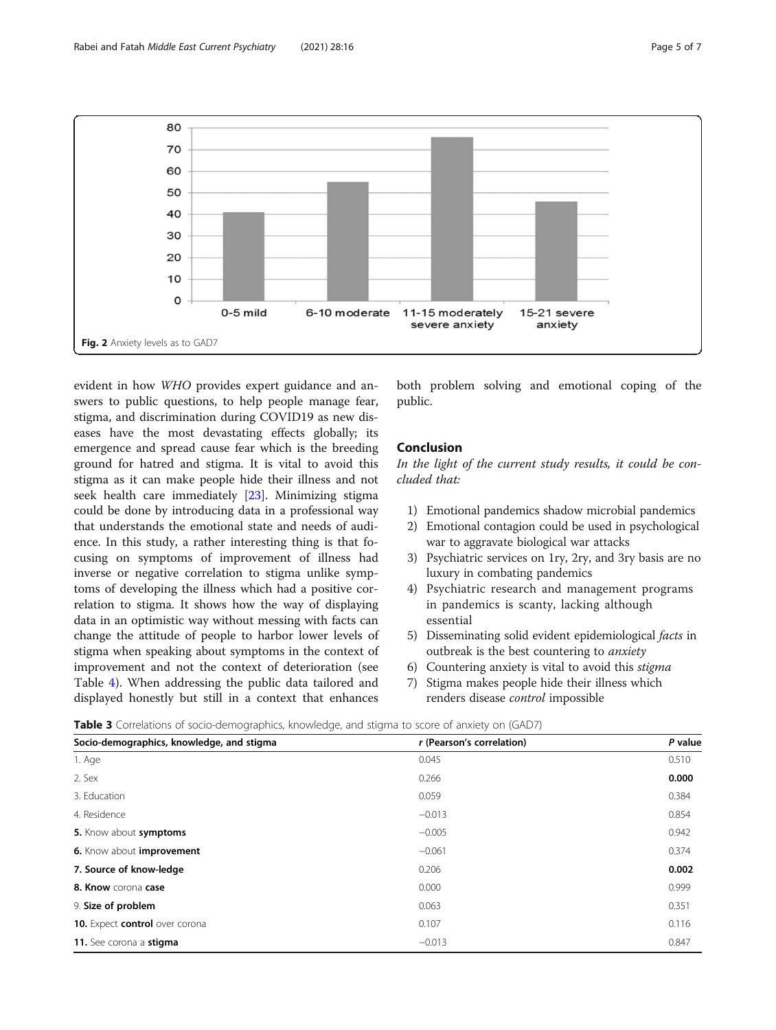<span id="page-4-0"></span>

evident in how WHO provides expert guidance and answers to public questions, to help people manage fear, stigma, and discrimination during COVID19 as new diseases have the most devastating effects globally; its emergence and spread cause fear which is the breeding ground for hatred and stigma. It is vital to avoid this stigma as it can make people hide their illness and not seek health care immediately [[23](#page-6-0)]. Minimizing stigma could be done by introducing data in a professional way that understands the emotional state and needs of audience. In this study, a rather interesting thing is that focusing on symptoms of improvement of illness had inverse or negative correlation to stigma unlike symptoms of developing the illness which had a positive correlation to stigma. It shows how the way of displaying data in an optimistic way without messing with facts can change the attitude of people to harbor lower levels of stigma when speaking about symptoms in the context of improvement and not the context of deterioration (see Table [4](#page-5-0)). When addressing the public data tailored and displayed honestly but still in a context that enhances

both problem solving and emotional coping of the public.

# Conclusion

In the light of the current study results, it could be concluded that:

- 1) Emotional pandemics shadow microbial pandemics
- 2) Emotional contagion could be used in psychological war to aggravate biological war attacks
- 3) Psychiatric services on 1ry, 2ry, and 3ry basis are no luxury in combating pandemics
- 4) Psychiatric research and management programs in pandemics is scanty, lacking although essential
- 5) Disseminating solid evident epidemiological facts in outbreak is the best countering to *anxiety*
- 6) Countering anxiety is vital to avoid this stigma
- 7) Stigma makes people hide their illness which renders disease control impossible

Table 3 Correlations of socio-demographics, knowledge, and stigma to score of anxiety on (GAD7)

| Socio-demographics, knowledge, and stigma | r (Pearson's correlation) | P value |  |
|-------------------------------------------|---------------------------|---------|--|
| 1. Age                                    | 0.045                     | 0.510   |  |
| 2. Sex                                    | 0.266                     | 0.000   |  |
| 3. Education                              | 0.059                     | 0.384   |  |
| 4. Residence                              | $-0.013$                  | 0.854   |  |
| 5. Know about symptoms                    | $-0.005$                  | 0.942   |  |
| 6. Know about improvement                 | $-0.061$                  | 0.374   |  |
| 7. Source of know-ledge                   | 0.206                     | 0.002   |  |
| 8. Know corona case                       | 0.000                     | 0.999   |  |
| 9. Size of problem                        | 0.063                     | 0.351   |  |
| 10. Expect control over corona            | 0.107                     | 0.116   |  |
| 11. See corona a stigma                   | $-0.013$                  | 0.847   |  |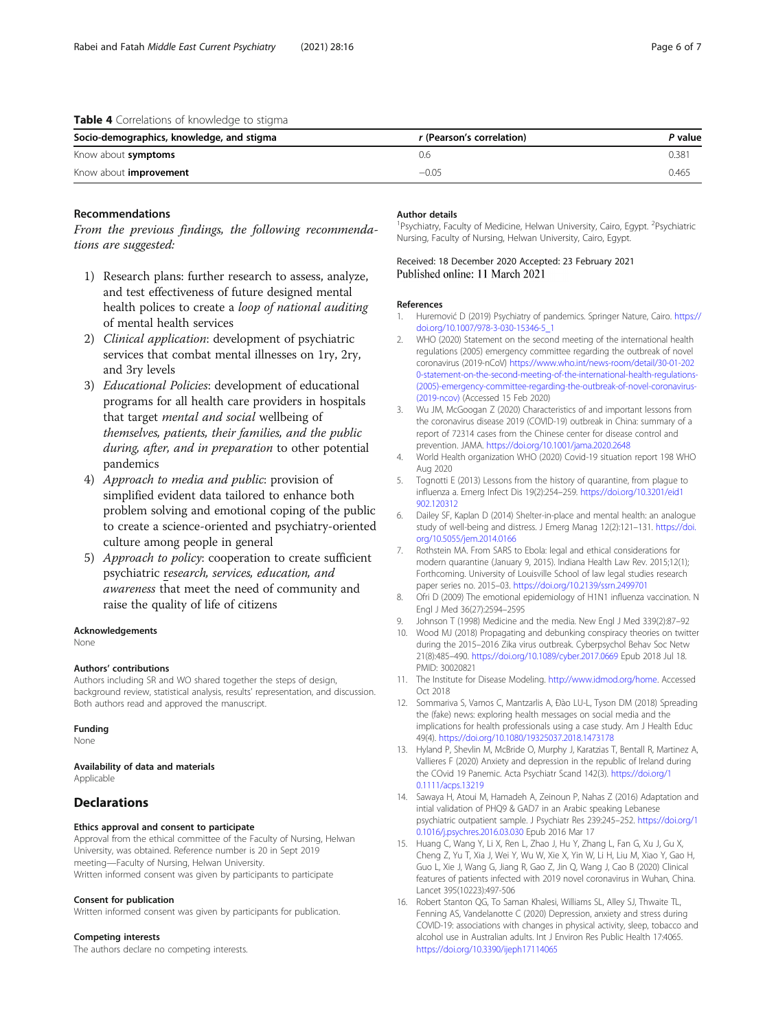## <span id="page-5-0"></span>Table 4 Correlations of knowledge to stigma

| Socio-demographics, knowledge, and stigma | r (Pearson's correlation) | P value |
|-------------------------------------------|---------------------------|---------|
| Know about symptoms                       | J.b                       | 0.381   |
| Know about <i>improvement</i>             | $-0.05$                   | 0.465   |

# Recommendations

From the previous findings, the following recommendations are suggested:

- 1) Research plans: further research to assess, analyze, and test effectiveness of future designed mental health polices to create a loop of national auditing of mental health services
- 2) Clinical application: development of psychiatric services that combat mental illnesses on 1ry, 2ry, and 3ry levels
- 3) Educational Policies: development of educational programs for all health care providers in hospitals that target mental and social wellbeing of themselves, patients, their families, and the public during, after, and in preparation to other potential pandemics
- 4) Approach to media and public: provision of simplified evident data tailored to enhance both problem solving and emotional coping of the public to create a science-oriented and psychiatry-oriented culture among people in general
- 5) Approach to policy: cooperation to create sufficient psychiatric research, services, education, and awareness that meet the need of community and raise the quality of life of citizens

#### Acknowledgements

None

#### Authors' contributions

Authors including SR and WO shared together the steps of design, background review, statistical analysis, results' representation, and discussion. Both authors read and approved the manuscript.

#### Funding

None

# Availability of data and materials

Applicable

# **Declarations**

#### Ethics approval and consent to participate

Approval from the ethical committee of the Faculty of Nursing, Helwan University, was obtained. Reference number is 20 in Sept 2019 meeting—Faculty of Nursing, Helwan University. Written informed consent was given by participants to participate

#### Consent for publication

Written informed consent was given by participants for publication.

#### Competing interests

The authors declare no competing interests.

#### Author details

<sup>1</sup>Psychiatry, Faculty of Medicine, Helwan University, Cairo, Egypt. <sup>2</sup>Psychiatric Nursing, Faculty of Nursing, Helwan University, Cairo, Egypt.

Received: 18 December 2020 Accepted: 23 February 2021 Published online: 11 March 2021

#### References

- 1. Huremović D (2019) Psychiatry of pandemics. Springer Nature, Cairo. [https://](https://doi.org/10.1007/978-3-030-15346-5_1) [doi.org/10.1007/978-3-030-15346-5\\_1](https://doi.org/10.1007/978-3-030-15346-5_1)
- 2. WHO (2020) Statement on the second meeting of the international health regulations (2005) emergency committee regarding the outbreak of novel coronavirus (2019-nCoV) [https://www.who.int/news-room/detail/30-01-202](https://www.who.int/news-room/detail/30-01-2020-statement-on-the-second-meeting-of-the-international-health-regulations-(2005)-emergency-committee-regarding-the-outbreak-of-novel-coronavirus-(2019-ncov)) [0-statement-on-the-second-meeting-of-the-international-health-regulations-](https://www.who.int/news-room/detail/30-01-2020-statement-on-the-second-meeting-of-the-international-health-regulations-(2005)-emergency-committee-regarding-the-outbreak-of-novel-coronavirus-(2019-ncov)) [\(2005\)-emergency-committee-regarding-the-outbreak-of-novel-coronavirus-](https://www.who.int/news-room/detail/30-01-2020-statement-on-the-second-meeting-of-the-international-health-regulations-(2005)-emergency-committee-regarding-the-outbreak-of-novel-coronavirus-(2019-ncov)) [\(2019-ncov\)](https://www.who.int/news-room/detail/30-01-2020-statement-on-the-second-meeting-of-the-international-health-regulations-(2005)-emergency-committee-regarding-the-outbreak-of-novel-coronavirus-(2019-ncov)) (Accessed 15 Feb 2020)
- 3. Wu JM, McGoogan Z (2020) Characteristics of and important lessons from the coronavirus disease 2019 (COVID-19) outbreak in China: summary of a report of 72314 cases from the Chinese center for disease control and prevention. JAMA. <https://doi.org/10.1001/jama.2020.2648>
- 4. World Health organization WHO (2020) Covid-19 situation report 198 WHO Aug 2020
- 5. Tognotti E (2013) Lessons from the history of quarantine, from plague to influenza a. Emerg Infect Dis 19(2):254–259. [https://doi.org/10.3201/eid1](https://doi.org/10.3201/eid1902.120312) [902.120312](https://doi.org/10.3201/eid1902.120312)
- 6. Dailey SF, Kaplan D (2014) Shelter-in-place and mental health: an analogue study of well-being and distress. J Emerg Manag 12(2):121–131. [https://doi.](https://doi.org/10.5055/jem.2014.0166) [org/10.5055/jem.2014.0166](https://doi.org/10.5055/jem.2014.0166)
- 7. Rothstein MA. From SARS to Ebola: legal and ethical considerations for modern quarantine (January 9, 2015). Indiana Health Law Rev. 2015;12(1); Forthcoming. University of Louisville School of law legal studies research paper series no. 2015–03. <https://doi.org/10.2139/ssrn.2499701>
- 8. Ofri D (2009) The emotional epidemiology of H1N1 influenza vaccination. N Engl J Med 36(27):2594–2595
- 9. Johnson T (1998) Medicine and the media. New Engl J Med 339(2):87–92
- 10. Wood MJ (2018) Propagating and debunking conspiracy theories on twitter during the 2015–2016 Zika virus outbreak. Cyberpsychol Behav Soc Netw 21(8):485–490. <https://doi.org/10.1089/cyber.2017.0669> Epub 2018 Jul 18. PMID: 30020821
- 11. The Institute for Disease Modeling. [http://www.idmod.org/home.](http://www.idmod.org/home) Accessed Oct 2018
- 12. Sommariva S, Vamos C, Mantzarlis A, Đào LU-L, Tyson DM (2018) Spreading the (fake) news: exploring health messages on social media and the implications for health professionals using a case study. Am J Health Educ 49(4). <https://doi.org/10.1080/19325037.2018.1473178>
- 13. Hyland P, Shevlin M, McBride O, Murphy J, Karatzias T, Bentall R, Martinez A, Vallieres F (2020) Anxiety and depression in the republic of Ireland during the COvid 19 Panemic. Acta Psychiatr Scand 142(3). [https://doi.org/1](https://doi.org/10.1111/acps.13219) [0.1111/acps.13219](https://doi.org/10.1111/acps.13219)
- 14. Sawaya H, Atoui M, Hamadeh A, Zeinoun P, Nahas Z (2016) Adaptation and intial validation of PHQ9 & GAD7 in an Arabic speaking Lebanese psychiatric outpatient sample. J Psychiatr Res 239:245–252. [https://doi.org/1](https://doi.org/10.1016/j.psychres.2016.03.030) [0.1016/j.psychres.2016.03.030](https://doi.org/10.1016/j.psychres.2016.03.030) Epub 2016 Mar 17
- 15. Huang C, Wang Y, Li X, Ren L, Zhao J, Hu Y, Zhang L, Fan G, Xu J, Gu X, Cheng Z, Yu T, Xia J, Wei Y, Wu W, Xie X, Yin W, Li H, Liu M, Xiao Y, Gao H, Guo L, Xie J, Wang G, Jiang R, Gao Z, Jin Q, Wang J, Cao B (2020) Clinical features of patients infected with 2019 novel coronavirus in Wuhan, China. Lancet 395(10223):497-506
- 16. Robert Stanton QG, To Saman Khalesi, Williams SL, Alley SJ, Thwaite TL, Fenning AS, Vandelanotte C (2020) Depression, anxiety and stress during COVID-19: associations with changes in physical activity, sleep, tobacco and alcohol use in Australian adults. Int J Environ Res Public Health 17:4065. <https://doi.org/10.3390/ijeph17114065>